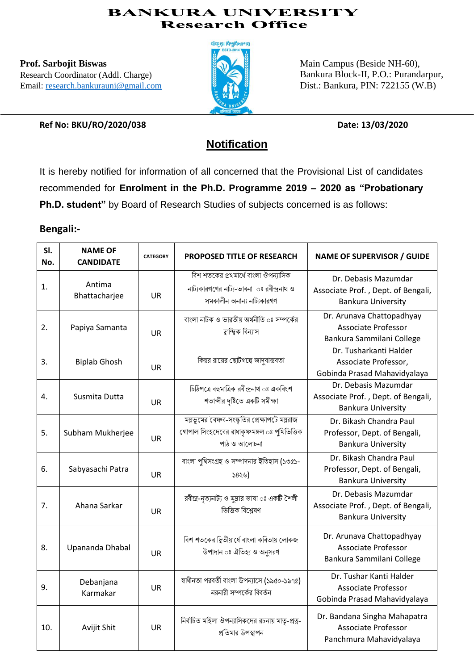## **BANKURA UNIVERSITY Research Office**

**Prof. Sarbojit Biswas** Research Coordinator (Addl. Charge) Email: [research.bankurauni@gmail.com](mailto:research.bankurauni@gmail.com)



Main Campus (Beside NH-60), Bankura Block-II, P.O.: Purandarpur, Dist.: Bankura, PIN: 722155 (W.B)

**Ref No: BKU/RO/2020/038 Date: 13/03/2020**

# **Notification**

It is hereby notified for information of all concerned that the Provisional List of candidates recommended for **Enrolment in the Ph.D. Programme 2019 – 2020 as "Probationary Ph.D. student"** by Board of Research Studies of subjects concerned is as follows:

## **Bengali:-**

| SI.<br>No.     | <b>NAME OF</b><br><b>CANDIDATE</b> | <b>CATEGORY</b> | <b>PROPOSED TITLE OF RESEARCH</b>                                                                              | <b>NAME OF SUPERVISOR / GUIDE</b>                                                       |
|----------------|------------------------------------|-----------------|----------------------------------------------------------------------------------------------------------------|-----------------------------------------------------------------------------------------|
| 1.             | Antima<br>Bhattacharjee            | <b>UR</b>       | বিশ শতকের প্রথমার্ধে বাংলা ঔপন্যাসিক<br>নাট্যকারগণের নাট্য-ভাবনা ঃ রবীন্দ্রনাথ ও<br>সমকালীন অনান্য নাট্যকারগণ  | Dr. Debasis Mazumdar<br>Associate Prof., Dept. of Bengali,<br><b>Bankura University</b> |
| 2.             | Papiya Samanta                     | <b>UR</b>       | বাংলা নাটক ও ভারতীয় অর্থনীতি ঃ সম্পর্কের<br>দ্বাম্বিক বিন্যাস                                                 | Dr. Arunava Chattopadhyay<br><b>Associate Professor</b><br>Bankura Sammilani College    |
| 3.             | <b>Biplab Ghosh</b>                | <b>UR</b>       | কিন্নর রায়ের ছোটগল্পে জাদবাস্তবতা                                                                             | Dr. Tusharkanti Halder<br>Associate Professor,<br>Gobinda Prasad Mahavidyalaya          |
| $\mathbf{4}$ . | Susmita Dutta                      | <b>UR</b>       | চিঠিপত্রে বহুমাত্রিক রবীন্দ্রনাথ ঃ একবিংশ<br>শতাব্দীর দৃষ্টিতে একটি সমীক্ষা                                    | Dr. Debasis Mazumdar<br>Associate Prof., Dept. of Bengali,<br><b>Bankura University</b> |
| 5.             | Subham Mukherjee                   | UR              | মল্লভূমের বৈষ্ণব-সংস্কৃতির প্রেক্ষাপটে মল্লরাজ<br>গোপাল সিংহদেবের রাধাকৃষ্ণমঙ্গল ঃ পুথিভিত্তিক<br>পাঠ ও আলোচনা | Dr. Bikash Chandra Paul<br>Professor, Dept. of Bengali,<br><b>Bankura University</b>    |
| 6.             | Sabyasachi Patra                   | <b>UR</b>       | বাংলা পুথিসংগ্ৰহ ও সম্পাদনার ইতিহাস (১৩৫১-<br>5856                                                             | Dr. Bikash Chandra Paul<br>Professor, Dept. of Bengali,<br><b>Bankura University</b>    |
| 7.             | Ahana Sarkar                       | <b>UR</b>       | রবীন্দ্র-নৃত্যনাট্য ও মুদ্রার ভাষা ঃ একটি শৈলী<br>ভিত্তিক বিশ্লেষণ                                             | Dr. Debasis Mazumdar<br>Associate Prof., Dept. of Bengali,<br><b>Bankura University</b> |
| 8.             | Upananda Dhabal                    | <b>UR</b>       | বিশ শতকের দ্বিতীয়ার্ধে বাংলা কবিতায় লোকজ<br>উপাদান ঃ ঐতিহ্য ও অনুসরণ                                         | Dr. Arunava Chattopadhyay<br><b>Associate Professor</b><br>Bankura Sammilani College    |
| 9.             | Debanjana<br>Karmakar              | <b>UR</b>       | স্বাধীনতা পরবর্তী বাংলা উপন্যাসে (১৯৫০-১৯৭৫)<br>নরনারী সম্পর্কের বিবর্তন                                       | Dr. Tushar Kanti Halder<br>Associate Professor<br>Gobinda Prasad Mahavidyalaya          |
| 10.            | Avijit Shit                        | <b>UR</b>       | নির্বাচিত মহিলা ঔপন্যাসিকদের রচনায় মাতৃ-প্রত্ন-<br>প্রতিমার উপস্থাপন                                          | Dr. Bandana Singha Mahapatra<br><b>Associate Professor</b><br>Panchmura Mahavidyalaya   |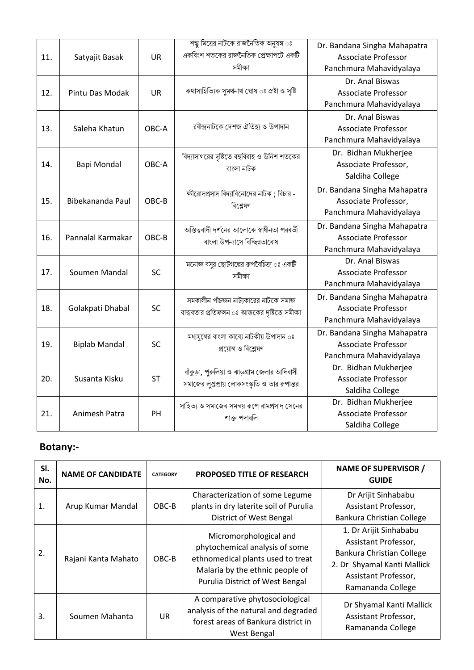| 11. | Satyajit Basak       | <b>UR</b> | <u>শম্ভু মিত্রের নাটকে রাজনৈতিক অনুষঙ্গ ঃ</u><br>একবিংশ শতকের রাজনৈতিক প্রেক্ষাপটে একটি<br>সমীক্ষা | Dr. Bandana Singha Mahapatra<br><b>Associate Professor</b><br>Panchmura Mahavidyalaya |
|-----|----------------------|-----------|----------------------------------------------------------------------------------------------------|---------------------------------------------------------------------------------------|
| 12. | Pintu Das Modak      | <b>UR</b> | কথাসাহিত্যিক সুমথনাথ ঘোষ ঃ স্রষ্টা ও সৃষ্টি                                                        | Dr. Anal Biswas<br><b>Associate Professor</b><br>Panchmura Mahavidyalaya              |
| 13. | Saleha Khatun        | OBC-A     | রবীন্দ্রনাটকে দেশজ ঐতিহ্য ও উপাদান                                                                 | Dr. Anal Biswas<br><b>Associate Professor</b><br>Panchmura Mahavidyalaya              |
| 14. | <b>Bapi Mondal</b>   | OBC-A     | বিদ্যাসাগরের দৃষ্টিতে বহুবিবাহ ও উনিশ শতকের<br>বাংলা নাটক                                          | Dr. Bidhan Mukherjee<br>Associate Professor,<br>Saldiha College                       |
| 15. | Bibekananda Paul     | OBC-B     | ক্ষীরোদপ্রসাদ বিদ্যাবিনোদের নাটক; বিচার -<br>বিশ্লেষণ                                              | Dr. Bandana Singha Mahapatra<br>Associate Professor,<br>Panchmura Mahavidyalaya       |
| 16. | Pannalal Karmakar    | OBC-B     | অস্তিত্ববাদী দর্শনের আলোকে স্বাধীনতা পরবর্তী<br>বাংলা উপন্যাসে বিচ্ছিন্নতাবোধ                      | Dr. Bandana Singha Mahapatra<br><b>Associate Professor</b><br>Panchmura Mahavidyalaya |
| 17. | Soumen Mandal        | <b>SC</b> | মনোজ বসুর ছোটগল্পের রূপবৈচিত্র্য ঃ একটি<br>সমীক্ষা                                                 | Dr. Anal Biswas<br>Associate Professor<br>Panchmura Mahavidyalaya                     |
| 18. | Golakpati Dhabal     | <b>SC</b> | সমকালীন পাঁচজন নাট্যকারের নাটকে সমাজ<br>বাস্তবতার প্রতিফলন ঃ আজকের দৃষ্টিতে সমীক্ষা                | Dr. Bandana Singha Mahapatra<br><b>Associate Professor</b><br>Panchmura Mahavidyalaya |
| 19. | <b>Biplab Mandal</b> | <b>SC</b> | মধ্যযুগের বাংলা কাব্যে নাটকীয় উপাদান ঃ<br>প্ৰয়োগ ও বিশ্লেষণ                                      | Dr. Bandana Singha Mahapatra<br><b>Associate Professor</b><br>Panchmura Mahavidyalaya |
| 20. | Susanta Kisku        | <b>ST</b> | বাঁকুড়া, পুরুলিয়া ও ঝাড়গ্রাম জেলার আদিবাসী<br>সমাজের লুপ্তপ্রায় লোকসংস্কৃতি ও তার রূপান্তর     | Dr. Bidhan Mukherjee<br><b>Associate Professor</b><br>Saldiha College                 |
| 21. | Animesh Patra        | PH        | সাহিত্য ও সমাজের সমন্বয় রূপে রামপ্রসাদ সেনের<br>শাক্ত পদাবলি                                      | Dr. Bidhan Mukherjee<br><b>Associate Professor</b><br>Saldiha College                 |

## **Botany:-**

| SI.<br>No. | <b>NAME OF CANDIDATE</b> | <b>CATEGORY</b> | <b>PROPOSED TITLE OF RESEARCH</b>                                                                                                                                   | <b>NAME OF SUPERVISOR /</b><br><b>GUIDE</b>                                                                                                             |
|------------|--------------------------|-----------------|---------------------------------------------------------------------------------------------------------------------------------------------------------------------|---------------------------------------------------------------------------------------------------------------------------------------------------------|
| 1.         | Arup Kumar Mandal        | OBC-B           | Characterization of some Legume<br>plants in dry laterite soil of Purulia<br>District of West Bengal                                                                | Dr Arijit Sinhababu<br>Assistant Professor,<br>Bankura Christian College                                                                                |
| 2.         | Rajani Kanta Mahato      | OBC-B           | Micromorphological and<br>phytochemical analysis of some<br>ethnomedical plants used to treat<br>Malaria by the ethnic people of<br>Purulia District of West Bengal | 1. Dr Arijit Sinhababu<br>Assistant Professor,<br>Bankura Christian College<br>2. Dr Shyamal Kanti Mallick<br>Assistant Professor,<br>Ramananda College |
| 3.         | Soumen Mahanta           | UR              | A comparative phytosociological<br>analysis of the natural and degraded<br>forest areas of Bankura district in<br>West Bengal                                       | Dr Shyamal Kanti Mallick<br>Assistant Professor,<br>Ramananda College                                                                                   |